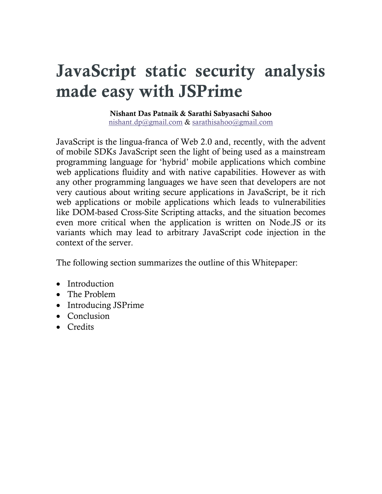# **JavaScript static security analysis made easy with JSPrime**

#### **Nishant Das Patnaik & Sarathi Sabyasachi Sahoo** [nishant.dp@gmail.com](mailto:nishant.dp@gmail.com) & [sarathisahoo@gmail.com](mailto:sarathisahoo@gmail.com)

JavaScript is the lingua-franca of Web 2.0 and, recently, with the advent of mobile SDKs JavaScript seen the light of being used as a mainstream programming language for 'hybrid' mobile applications which combine web applications fluidity and with native capabilities. However as with any other programming languages we have seen that developers are not very cautious about writing secure applications in JavaScript, be it rich web applications or mobile applications which leads to vulnerabilities like DOM-based Cross-Site Scripting attacks, and the situation becomes even more critical when the application is written on Node.JS or its variants which may lead to arbitrary JavaScript code injection in the context of the server.

The following section summarizes the outline of this Whitepaper:

- Introduction
- The Problem
- Introducing JSPrime
- Conclusion
- Credits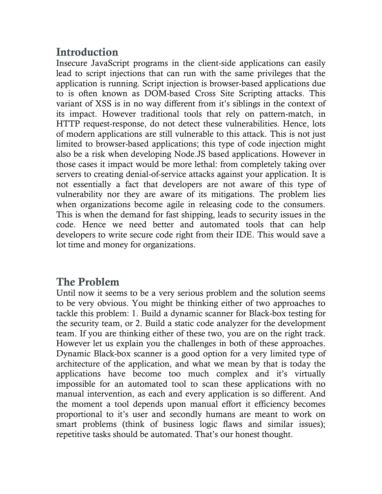# **Introduction**

Insecure JavaScript programs in the client-side applications can easily lead to script injections that can run with the same privileges that the application is running. Script injection is browser-based applications due to is often known as DOM-based Cross Site Scripting attacks. This variant of XSS is in no way different from it's siblings in the context of its impact. However traditional tools that rely on pattern-match, in HTTP request-response, do not detect these vulnerabilities. Hence, lots of modern applications are still vulnerable to this attack. This is not just limited to browser-based applications; this type of code injection might also be a risk when developing Node.JS based applications. However in those cases it impact would be more lethal: from completely taking over servers to creating denial-of-service attacks against your application. It is not essentially a fact that developers are not aware of this type of vulnerability nor they are aware of its mitigations. The problem lies when organizations become agile in releasing code to the consumers. This is when the demand for fast shipping, leads to security issues in the code. Hence we need better and automated tools that can help developers to write secure code right from their IDE. This would save a lot time and money for organizations.

# **The Problem**

Until now it seems to be a very serious problem and the solution seems to be very obvious. You might be thinking either of two approaches to tackle this problem: 1. Build a dynamic scanner for Black-box testing for the security team, or 2. Build a static code analyzer for the development team. If you are thinking either of these two, you are on the right track. However let us explain you the challenges in both of these approaches. Dynamic Black-box scanner is a good option for a very limited type of architecture of the application, and what we mean by that is today the applications have become too much complex and it's virtually impossible for an automated tool to scan these applications with no manual intervention, as each and every application is so different. And the moment a tool depends upon manual effort it efficiency becomes proportional to it's user and secondly humans are meant to work on smart problems (think of business logic flaws and similar issues); repetitive tasks should be automated. That's our honest thought.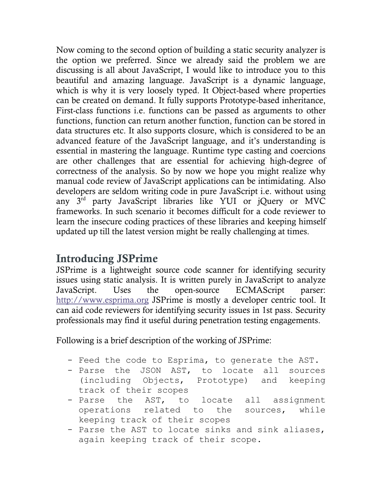Now coming to the second option of building a static security analyzer is the option we preferred. Since we already said the problem we are discussing is all about JavaScript, I would like to introduce you to this beautiful and amazing language. JavaScript is a dynamic language, which is why it is very loosely typed. It Object-based where properties can be created on demand. It fully supports Prototype-based inheritance, First-class functions i.e. functions can be passed as arguments to other functions, function can return another function, function can be stored in data structures etc. It also supports closure, which is considered to be an advanced feature of the JavaScript language, and it's understanding is essential in mastering the language. Runtime type casting and coercions are other challenges that are essential for achieving high-degree of correctness of the analysis. So by now we hope you might realize why manual code review of JavaScript applications can be intimidating. Also developers are seldom writing code in pure JavaScript i.e. without using any 3rd party JavaScript libraries like YUI or jQuery or MVC frameworks. In such scenario it becomes difficult for a code reviewer to learn the insecure coding practices of these libraries and keeping himself updated up till the latest version might be really challenging at times.

### **Introducing JSPrime**

JSPrime is a lightweight source code scanner for identifying security issues using static analysis. It is written purely in JavaScript to analyze JavaScript. Uses the open-source ECMAScript parser: [http://www.esprima.org](http://www.esprima.org/) JSPrime is mostly a developer centric tool. It can aid code reviewers for identifying security issues in 1st pass. Security professionals may find it useful during penetration testing engagements.

Following is a brief description of the working of JSPrime:

- Feed the code to Esprima, to generate the AST.
- Parse the JSON AST, to locate all sources (including Objects, Prototype) and keeping track of their scopes
- Parse the AST, to locate all assignment operations related to the sources, while keeping track of their scopes
- Parse the AST to locate sinks and sink aliases, again keeping track of their scope.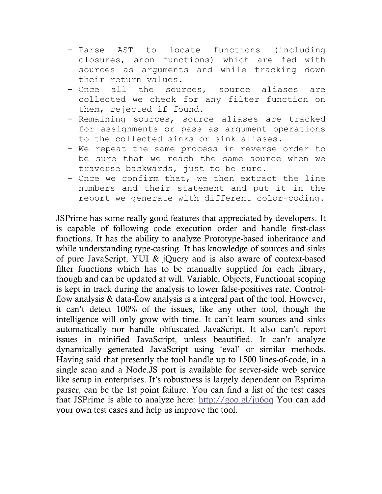- Parse AST to locate functions (including closures, anon functions) which are fed with sources as arguments and while tracking down their return values.
- Once all the sources, source aliases are collected we check for any filter function on them, rejected if found.
- Remaining sources, source aliases are tracked for assignments or pass as argument operations to the collected sinks or sink aliases.
- We repeat the same process in reverse order to be sure that we reach the same source when we traverse backwards, just to be sure.
- Once we confirm that, we then extract the line numbers and their statement and put it in the report we generate with different color-coding.

JSPrime has some really good features that appreciated by developers. It is capable of following code execution order and handle first-class functions. It has the ability to analyze Prototype-based inheritance and while understanding type-casting. It has knowledge of sources and sinks of pure JavaScript, YUI & jQuery and is also aware of context-based filter functions which has to be manually supplied for each library, though and can be updated at will. Variable, Objects, Functional scoping is kept in track during the analysis to lower false-positives rate. Controlflow analysis & data-flow analysis is a integral part of the tool. However, it can't detect 100% of the issues, like any other tool, though the intelligence will only grow with time. It can't learn sources and sinks automatically nor handle obfuscated JavaScript. It also can't report issues in minified JavaScript, unless beautified. It can't analyze dynamically generated JavaScript using 'eval' or similar methods. Having said that presently the tool handle up to 1500 lines-of-code, in a single scan and a Node.JS port is available for server-side web service like setup in enterprises. It's robustness is largely dependent on Esprima parser, can be the 1st point failure. You can find a list of the test cases that JSPrime is able to analyze here:<http://goo.gl/ju6oq> You can add your own test cases and help us improve the tool.